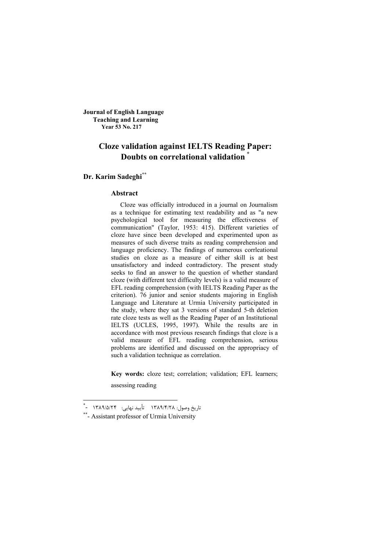**Journal of English Language Teaching and Learning Year 53 No. 217**

# **Cloze validation against IELTS Reading Paper: Doubts on correlational validation \***

**Dr. Karim Sadeghi\*\***

#### **Abstract**

Cloze was officially introduced in a journal on Journalism as a technique for estimating text readability and as "a new psychological tool for measuring the effectiveness of communication" (Taylor, 1953: 415). Different varieties of cloze have since been developed and experimented upon as measures of such diverse traits as reading comprehension and language proficiency. The findings of numerous corrleational studies on cloze as a measure of either skill is at best unsatisfactory and indeed contradictory. The present study seeks to find an answer to the question of whether standard cloze (with different text difficulty levels) is a valid measure of EFL reading comprehension (with IELTS Reading Paper as the criterion). 76 junior and senior students majoring in English Language and Literature at Urmia University participated in the study, where they sat 3 versions of standard 5-th deletion rate cloze tests as well as the Reading Paper of an Institutional IELTS (UCLES, 1995, 1997). While the results are in accordance with most previous research findings that cloze is a valid measure of EFL reading comprehension, serious problems are identified and discussed on the appropriacy of such a validation technique as correlation.

**Key words:** cloze test; correlation; validation; EFL learners; assessing reading

\_<br>"تاریخ وصول: ۱۳۸۹/۴/۲۸ تأیید نهایی: ۱۳۸۹/۵/۲۴ -<sup>\*</sup>

<sup>\*\*-</sup> Assistant professor of Urmia University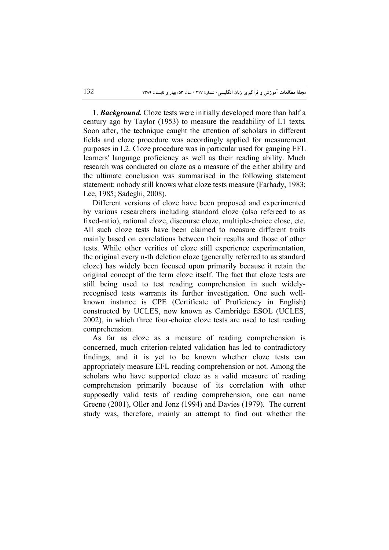1. *Background.* Cloze tests were initially developed more than half a century ago by Taylor (1953) to measure the readability of L1 texts. Soon after, the technique caught the attention of scholars in different fields and cloze procedure was accordingly applied for measurement purposes in L2. Cloze procedure was in particular used for gauging EFL learners' language proficiency as well as their reading ability. Much research was conducted on cloze as a measure of the either ability and the ultimate conclusion was summarised in the following statement statement: nobody still knows what cloze tests measure (Farhady, 1983; Lee, 1985; Sadeghi, 2008).

Different versions of cloze have been proposed and experimented by various researchers including standard cloze (also refereed to as fixed-ratio), rational cloze, discourse cloze, multiple-choice close, etc. All such cloze tests have been claimed to measure different traits mainly based on correlations between their results and those of other tests. While other verities of cloze still experience experimentation, the original every n-th deletion cloze (generally referred to as standard cloze) has widely been focused upon primarily because it retain the original concept of the term cloze itself. The fact that cloze tests are still being used to test reading comprehension in such widelyrecognised tests warrants its further investigation. One such wellknown instance is CPE (Certificate of Proficiency in English) constructed by UCLES, now known as Cambridge ESOL (UCLES, 2002), in which three four-choice cloze tests are used to test reading comprehension.

As far as cloze as a measure of reading comprehension is concerned, much criterion-related validation has led to contradictory findings, and it is yet to be known whether cloze tests can appropriately measure EFL reading comprehension or not. Among the scholars who have supported cloze as a valid measure of reading comprehension primarily because of its correlation with other supposedly valid tests of reading comprehension, one can name Greene (2001), Oller and Jonz (1994) and Davies (1979). The current study was, therefore, mainly an attempt to find out whether the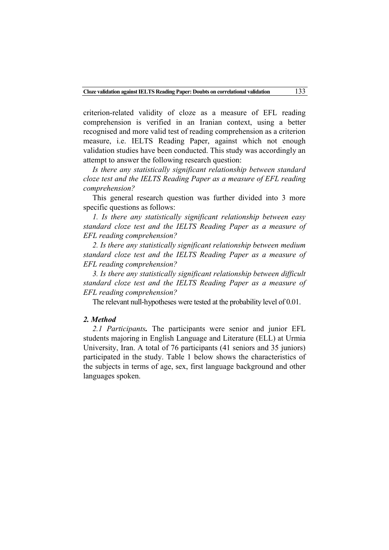criterion-related validity of cloze as a measure of EFL reading comprehension is verified in an Iranian context, using a better recognised and more valid test of reading comprehension as a criterion measure, i.e. IELTS Reading Paper, against which not enough validation studies have been conducted. This study was accordingly an attempt to answer the following research question:

*Is there any statistically significant relationship between standard cloze test and the IELTS Reading Paper as a measure of EFL reading comprehension?*

This general research question was further divided into 3 more specific questions as follows:

*1. Is there any statistically significant relationship between easy standard cloze test and the IELTS Reading Paper as a measure of EFL reading comprehension?*

*2. Is there any statistically significant relationship between medium standard cloze test and the IELTS Reading Paper as a measure of EFL reading comprehension?*

*3. Is there any statistically significant relationship between difficult standard cloze test and the IELTS Reading Paper as a measure of EFL reading comprehension?*

The relevant null-hypotheses were tested at the probability level of 0.01.

## *2. Method*

*2.1 Participants.* The participants were senior and junior EFL students majoring in English Language and Literature (ELL) at Urmia University, Iran. A total of 76 participants (41 seniors and 35 juniors) participated in the study. Table 1 below shows the characteristics of the subjects in terms of age, sex, first language background and other languages spoken.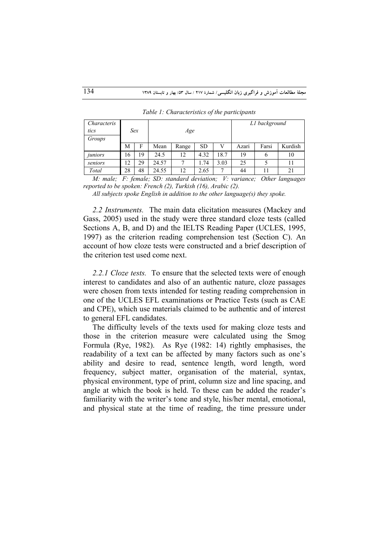| Characteris<br>tics | Sex |    |       | Age   |           |      | L1 background |       |         |
|---------------------|-----|----|-------|-------|-----------|------|---------------|-------|---------|
| Groups              |     |    |       |       |           |      |               |       |         |
|                     | М   | F  | Mean  | Range | <b>SD</b> |      | Azari         | Farsi | Kurdish |
| juniors             | 16  | 19 | 24.5  | 12    | 4.32      | 18.7 | 19            | 6     | 10      |
| seniors             | 12  | 29 | 24.57 |       | 1.74      | 3.03 | 25            |       | 11      |
| Total               | 28  | 48 | 24.55 | 12    | 2.65      | ⇁    | 44            | 11    | 21      |

*Table 1: Characteristics of the participants*

*M: male; F: female; SD: standard deviation; V: variance; Other languages reported to be spoken: French (2), Turkish (16), Arabic (2).* 

*All subjects spoke English in addition to the other language(s) they spoke.*

*2.2 Instruments.* The main data elicitation measures (Mackey and Gass, 2005) used in the study were three standard cloze tests (called Sections A, B, and D) and the IELTS Reading Paper (UCLES, 1995, 1997) as the criterion reading comprehension test (Section C). An account of how cloze tests were constructed and a brief description of the criterion test used come next.

*2.2.1 Cloze tests.* To ensure that the selected texts were of enough interest to candidates and also of an authentic nature, cloze passages were chosen from texts intended for testing reading comprehension in one of the UCLES EFL examinations or Practice Tests (such as CAE and CPE), which use materials claimed to be authentic and of interest to general EFL candidates.

The difficulty levels of the texts used for making cloze tests and those in the criterion measure were calculated using the Smog Formula (Rye, 1982). As Rye (1982: 14) rightly emphasises, the readability of a text can be affected by many factors such as one's ability and desire to read, sentence length, word length, word frequency, subject matter, organisation of the material, syntax, physical environment, type of print, column size and line spacing, and angle at which the book is held. To these can be added the reader's familiarity with the writer's tone and style, his/her mental, emotional, and physical state at the time of reading, the time pressure under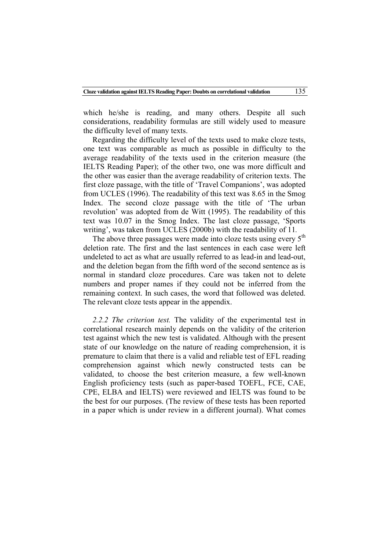which he/she is reading, and many others. Despite all such considerations, readability formulas are still widely used to measure the difficulty level of many texts.

Regarding the difficulty level of the texts used to make cloze tests, one text was comparable as much as possible in difficulty to the average readability of the texts used in the criterion measure (the IELTS Reading Paper); of the other two, one was more difficult and the other was easier than the average readability of criterion texts. The first cloze passage, with the title of 'Travel Companions', was adopted from UCLES (1996). The readability of this text was 8.65 in the Smog Index. The second cloze passage with the title of 'The urban revolution' was adopted from de Witt (1995). The readability of this text was 10.07 in the Smog Index. The last cloze passage, 'Sports writing', was taken from UCLES (2000b) with the readability of 11*.*

The above three passages were made into cloze tests using every  $5<sup>th</sup>$ deletion rate. The first and the last sentences in each case were left undeleted to act as what are usually referred to as lead-in and lead-out, and the deletion began from the fifth word of the second sentence as is normal in standard cloze procedures. Care was taken not to delete numbers and proper names if they could not be inferred from the remaining context. In such cases, the word that followed was deleted. The relevant cloze tests appear in the appendix.

*2.2.2 The criterion test.* The validity of the experimental test in correlational research mainly depends on the validity of the criterion test against which the new test is validated. Although with the present state of our knowledge on the nature of reading comprehension, it is premature to claim that there is a valid and reliable test of EFL reading comprehension against which newly constructed tests can be validated, to choose the best criterion measure, a few well-known English proficiency tests (such as paper-based TOEFL, FCE, CAE, CPE, ELBA and IELTS) were reviewed and IELTS was found to be the best for our purposes. (The review of these tests has been reported in a paper which is under review in a different journal). What comes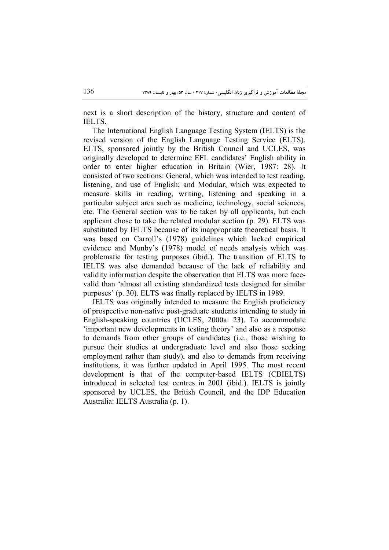next is a short description of the history, structure and content of IELTS.

The International English Language Testing System (IELTS) is the revised version of the English Language Testing Service (ELTS). ELTS, sponsored jointly by the British Council and UCLES, was originally developed to determine EFL candidates' English ability in order to enter higher education in Britain (Wier, 1987: 28). It consisted of two sections: General, which was intended to test reading, listening, and use of English; and Modular, which was expected to measure skills in reading, writing, listening and speaking in a particular subject area such as medicine, technology, social sciences, etc. The General section was to be taken by all applicants, but each applicant chose to take the related modular section (p. 29). ELTS was substituted by IELTS because of its inappropriate theoretical basis. It was based on Carroll's (1978) guidelines which lacked empirical evidence and Munby's (1978) model of needs analysis which was problematic for testing purposes (ibid.). The transition of ELTS to IELTS was also demanded because of the lack of reliability and validity information despite the observation that ELTS was more facevalid than 'almost all existing standardized tests designed for similar purposes' (p. 30). ELTS was finally replaced by IELTS in 1989.

IELTS was originally intended to measure the English proficiency of prospective non-native post-graduate students intending to study in English-speaking countries (UCLES, 2000a: 23). To accommodate 'important new developments in testing theory' and also as a response to demands from other groups of candidates (i.e., those wishing to pursue their studies at undergraduate level and also those seeking employment rather than study), and also to demands from receiving institutions, it was further updated in April 1995. The most recent development is that of the computer-based IELTS (CBIELTS) introduced in selected test centres in 2001 (ibid.). IELTS is jointly sponsored by UCLES, the British Council, and the IDP Education Australia: IELTS Australia (p. 1).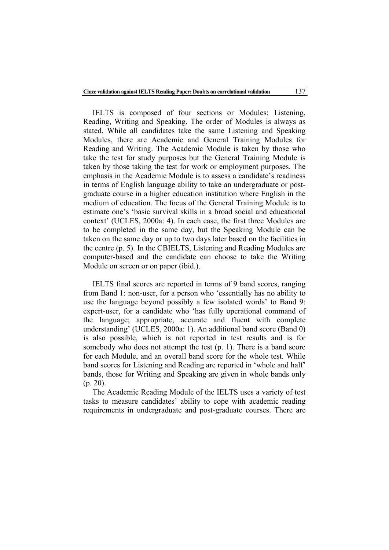IELTS is composed of four sections or Modules: Listening, Reading, Writing and Speaking. The order of Modules is always as stated. While all candidates take the same Listening and Speaking Modules, there are Academic and General Training Modules for Reading and Writing. The Academic Module is taken by those who take the test for study purposes but the General Training Module is taken by those taking the test for work or employment purposes. The emphasis in the Academic Module is to assess a candidate's readiness in terms of English language ability to take an undergraduate or postgraduate course in a higher education institution where English in the medium of education. The focus of the General Training Module is to estimate one's 'basic survival skills in a broad social and educational context' (UCLES, 2000a: 4). In each case, the first three Modules are to be completed in the same day, but the Speaking Module can be taken on the same day or up to two days later based on the facilities in the centre (p. 5). In the CBIELTS, Listening and Reading Modules are computer-based and the candidate can choose to take the Writing Module on screen or on paper (ibid.).

IELTS final scores are reported in terms of 9 band scores, ranging from Band 1: non-user, for a person who 'essentially has no ability to use the language beyond possibly a few isolated words' to Band 9: expert-user, for a candidate who 'has fully operational command of the language; appropriate, accurate and fluent with complete understanding' (UCLES, 2000a: 1). An additional band score (Band 0) is also possible, which is not reported in test results and is for somebody who does not attempt the test (p. 1). There is a band score for each Module, and an overall band score for the whole test. While band scores for Listening and Reading are reported in 'whole and half' bands, those for Writing and Speaking are given in whole bands only (p. 20).

The Academic Reading Module of the IELTS uses a variety of test tasks to measure candidates' ability to cope with academic reading requirements in undergraduate and post-graduate courses. There are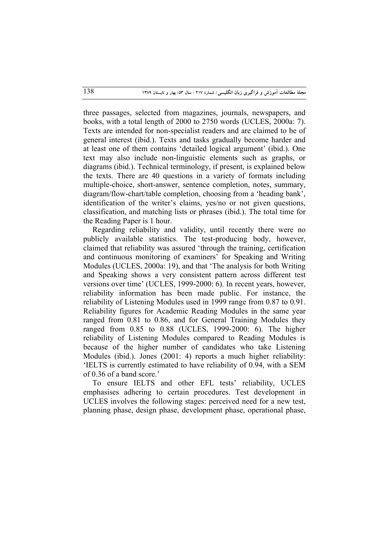three passages, selected from magazines, journals, newspapers, and books, with a total length of 2000 to 2750 words (UCLES, 2000a: 7). Texts are intended for non-specialist readers and are claimed to be of general interest (ibid.). Texts and tasks gradually become harder and at least one of them contains 'detailed logical argument' (ibid.). One text may also include non-linguistic elements such as graphs, or diagrams (ibid.). Technical terminology, if present, is explained below the texts. There are 40 questions in a variety of formats including multiple-choice, short-answer, sentence completion, notes, summary, diagram/flow-chart/table completion, choosing from a 'heading bank', identification of the writer's claims, yes/no or not given questions, classification, and matching lists or phrases (ibid.). The total time for the Reading Paper is 1 hour.

Regarding reliability and validity, until recently there were no publicly available statistics. The test-producing body, however, claimed that reliability was assured 'through the training, certification and continuous monitoring of examiners' for Speaking and Writing Modules (UCLES, 2000a: 19), and that 'The analysis for both Writing and Speaking shows a very consistent pattern across different test versions over time' (UCLES, 1999-2000: 6). In recent years, however, reliability information has been made public. For instance, the reliability of Listening Modules used in 1999 range from 0.87 to 0.91. Reliability figures for Academic Reading Modules in the same year ranged from 0.81 to 0.86, and for General Training Modules they ranged from 0.85 to 0.88 (UCLES, 1999-2000: 6). The higher reliability of Listening Modules compared to Reading Modules is because of the higher number of candidates who take Listening Modules (ibid.). Jones (2001: 4) reports a much higher reliability: 'IELTS is currently estimated to have reliability of 0.94, with a SEM of 0.36 of a band score.'

To ensure IELTS and other EFL tests' reliability, UCLES emphasises adhering to certain procedures. Test development in UCLES involves the following stages: perceived need for a new test, planning phase, design phase, development phase, operational phase,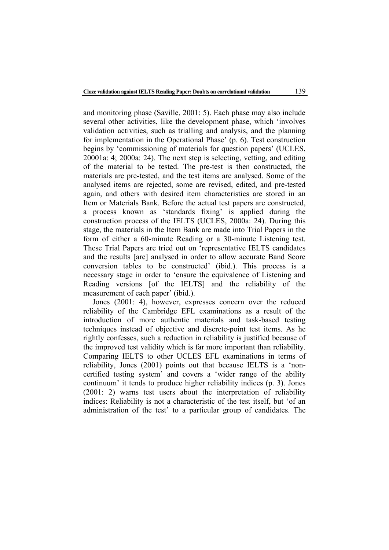and monitoring phase (Saville, 2001: 5). Each phase may also include several other activities, like the development phase, which 'involves validation activities, such as trialling and analysis, and the planning for implementation in the Operational Phase' (p. 6). Test construction begins by 'commissioning of materials for question papers' (UCLES, 20001a: 4; 2000a: 24). The next step is selecting, vetting, and editing of the material to be tested. The pre-test is then constructed, the materials are pre-tested, and the test items are analysed. Some of the analysed items are rejected, some are revised, edited, and pre-tested again, and others with desired item characteristics are stored in an Item or Materials Bank. Before the actual test papers are constructed, a process known as 'standards fixing' is applied during the construction process of the IELTS (UCLES, 2000a: 24). During this stage, the materials in the Item Bank are made into Trial Papers in the form of either a 60-minute Reading or a 30-minute Listening test. These Trial Papers are tried out on 'representative IELTS candidates and the results [are] analysed in order to allow accurate Band Score conversion tables to be constructed' (ibid.). This process is a necessary stage in order to 'ensure the equivalence of Listening and Reading versions [of the IELTS] and the reliability of the measurement of each paper' (ibid.).

Jones (2001: 4), however, expresses concern over the reduced reliability of the Cambridge EFL examinations as a result of the introduction of more authentic materials and task-based testing techniques instead of objective and discrete-point test items. As he rightly confesses, such a reduction in reliability is justified because of the improved test validity which is far more important than reliability. Comparing IELTS to other UCLES EFL examinations in terms of reliability, Jones (2001) points out that because IELTS is a 'noncertified testing system' and covers a 'wider range of the ability continuum' it tends to produce higher reliability indices (p. 3). Jones (2001: 2) warns test users about the interpretation of reliability indices: Reliability is not a characteristic of the test itself, but 'of an administration of the test' to a particular group of candidates. The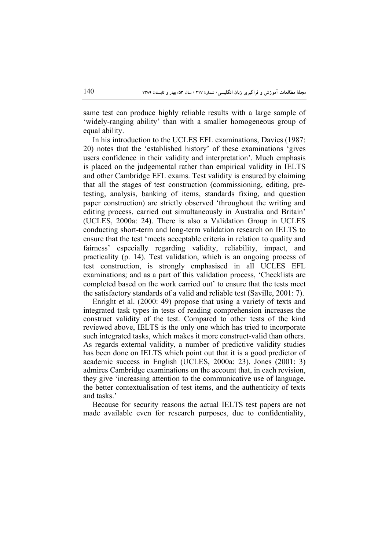same test can produce highly reliable results with a large sample of 'widely-ranging ability' than with a smaller homogeneous group of equal ability.

In his introduction to the UCLES EFL examinations, Davies (1987: 20) notes that the 'established history' of these examinations 'gives users confidence in their validity and interpretation'. Much emphasis is placed on the judgemental rather than empirical validity in IELTS and other Cambridge EFL exams. Test validity is ensured by claiming that all the stages of test construction (commissioning, editing, pretesting, analysis, banking of items, standards fixing, and question paper construction) are strictly observed 'throughout the writing and editing process, carried out simultaneously in Australia and Britain' (UCLES, 2000a: 24). There is also a Validation Group in UCLES conducting short-term and long-term validation research on IELTS to ensure that the test 'meets acceptable criteria in relation to quality and fairness' especially regarding validity, reliability, impact, and practicality (p. 14). Test validation, which is an ongoing process of test construction, is strongly emphasised in all UCLES EFL examinations; and as a part of this validation process, 'Checklists are completed based on the work carried out' to ensure that the tests meet the satisfactory standards of a valid and reliable test (Saville, 2001: 7).

Enright et al. (2000: 49) propose that using a variety of texts and integrated task types in tests of reading comprehension increases the construct validity of the test. Compared to other tests of the kind reviewed above, IELTS is the only one which has tried to incorporate such integrated tasks, which makes it more construct-valid than others. As regards external validity, a number of predictive validity studies has been done on IELTS which point out that it is a good predictor of academic success in English (UCLES, 2000a: 23). Jones (2001: 3) admires Cambridge examinations on the account that, in each revision, they give 'increasing attention to the communicative use of language, the better contextualisation of test items, and the authenticity of texts and tasks.'

Because for security reasons the actual IELTS test papers are not made available even for research purposes, due to confidentiality,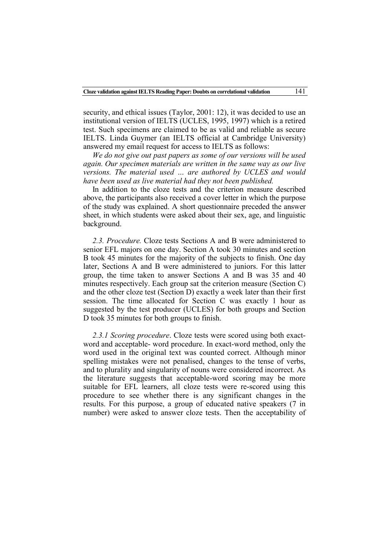security, and ethical issues (Taylor, 2001: 12), it was decided to use an institutional version of IELTS (UCLES, 1995, 1997) which is a retired test. Such specimens are claimed to be as valid and reliable as secure IELTS. Linda Guymer (an IELTS official at Cambridge University) answered my email request for access to IELTS as follows:

*We do not give out past papers as some of our versions will be used again. Our specimen materials are written in the same way as our live versions. The material used … are authored by UCLES and would have been used as live material had they not been published.*

In addition to the cloze tests and the criterion measure described above, the participants also received a cover letter in which the purpose of the study was explained. A short questionnaire preceded the answer sheet, in which students were asked about their sex, age, and linguistic background.

*2.3. Procedure.* Cloze tests Sections A and B were administered to senior EFL majors on one day. Section A took 30 minutes and section B took 45 minutes for the majority of the subjects to finish. One day later, Sections A and B were administered to juniors. For this latter group, the time taken to answer Sections A and B was 35 and 40 minutes respectively. Each group sat the criterion measure (Section C) and the other cloze test (Section D) exactly a week later than their first session. The time allocated for Section C was exactly 1 hour as suggested by the test producer (UCLES) for both groups and Section D took 35 minutes for both groups to finish.

*2.3.1 Scoring procedure*. Cloze tests were scored using both exactword and acceptable- word procedure. In exact-word method, only the word used in the original text was counted correct. Although minor spelling mistakes were not penalised, changes to the tense of verbs, and to plurality and singularity of nouns were considered incorrect. As the literature suggests that acceptable-word scoring may be more suitable for EFL learners, all cloze tests were re-scored using this procedure to see whether there is any significant changes in the results. For this purpose, a group of educated native speakers (7 in number) were asked to answer cloze tests. Then the acceptability of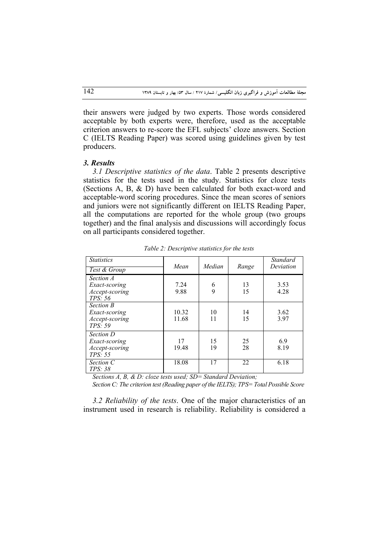their answers were judged by two experts. Those words considered acceptable by both experts were, therefore, used as the acceptable criterion answers to re-score the EFL subjects' cloze answers. Section C (IELTS Reading Paper) was scored using guidelines given by test producers.

### *3. Results*

*3.1 Descriptive statistics of the data*. Table 2 presents descriptive statistics for the tests used in the study. Statistics for cloze tests (Sections A, B, & D) have been calculated for both exact-word and acceptable-word scoring procedures. Since the mean scores of seniors and juniors were not significantly different on IELTS Reading Paper, all the computations are reported for the whole group (two groups together) and the final analysis and discussions will accordingly focus on all participants considered together.

| <b>Statistics</b><br>Test & Group                       | Mean           | Median   | Range    | <b>Standard</b><br>Deviation |
|---------------------------------------------------------|----------------|----------|----------|------------------------------|
| Section A<br>Exact-scoring<br>Accept-scoring<br>TPS: 56 | 7.24<br>9.88   | 6<br>9   | 13<br>15 | 3.53<br>4.28                 |
| Section B<br>Exact-scoring<br>Accept-scoring<br>TPS: 59 | 10.32<br>11.68 | 10<br>11 | 14<br>15 | 3.62<br>3.97                 |
| Section D<br>Exact-scoring<br>Accept-scoring<br>TPS: 55 | 17<br>19.48    | 15<br>19 | 25<br>28 | 6.9<br>8.19                  |
| Section C<br>TPS: 38                                    | 18.08          | 17       | 22       | 6.18                         |

*Table 2: Descriptive statistics for the tests*

*Sections A, B, & D: cloze tests used; SD= Standard Deviation;* 

*Section C: The criterion test (Reading paper of the IELTS); TPS= Total Possible Score*

*3.2 Reliability of the tests*. One of the major characteristics of an instrument used in research is reliability. Reliability is considered a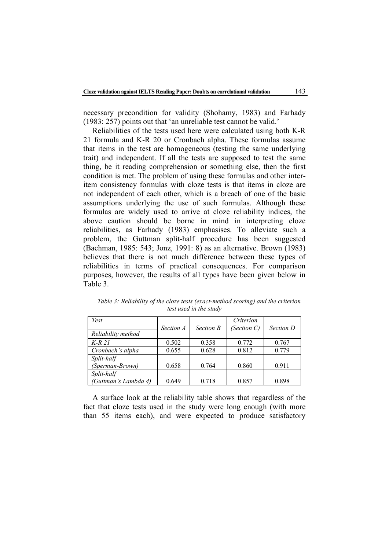necessary precondition for validity (Shohamy, 1983) and Farhady (1983: 257) points out that 'an unreliable test cannot be valid.'

Reliabilities of the tests used here were calculated using both K-R 21 formula and K-R 20 or Cronbach alpha. These formulas assume that items in the test are homogeneous (testing the same underlying trait) and independent. If all the tests are supposed to test the same thing, be it reading comprehension or something else, then the first condition is met. The problem of using these formulas and other interitem consistency formulas with cloze tests is that items in cloze are not independent of each other, which is a breach of one of the basic assumptions underlying the use of such formulas. Although these formulas are widely used to arrive at cloze reliability indices, the above caution should be borne in mind in interpreting cloze reliabilities, as Farhady (1983) emphasises. To alleviate such a problem, the Guttman split-half procedure has been suggested (Bachman, 1985: 543; Jonz, 1991: 8) as an alternative. Brown (1983) believes that there is not much difference between these types of reliabilities in terms of practical consequences. For comparison purposes, however, the results of all types have been given below in Table 3.

| Test                 |           |                  | Criterion   |           |
|----------------------|-----------|------------------|-------------|-----------|
| Reliability method   | Section A | <b>Section B</b> | (Section C) | Section D |
| $K-R$ 21             | 0.502     | 0.358            | 0.772       | 0.767     |
| Cronbach's alpha     | 0.655     | 0.628            | 0.812       | 0.779     |
| Split-half           |           |                  |             |           |
| (Sperman-Brown)      | 0.658     | 0.764            | 0.860       | 0.911     |
| Split-half           |           |                  |             |           |
| (Guttman's Lambda 4) | 0.649     | 0.718            | 0.857       | 0.898     |

*Table 3: Reliability of the cloze tests (exact-method scoring) and the criterion test used in the study*

A surface look at the reliability table shows that regardless of the fact that cloze tests used in the study were long enough (with more than 55 items each), and were expected to produce satisfactory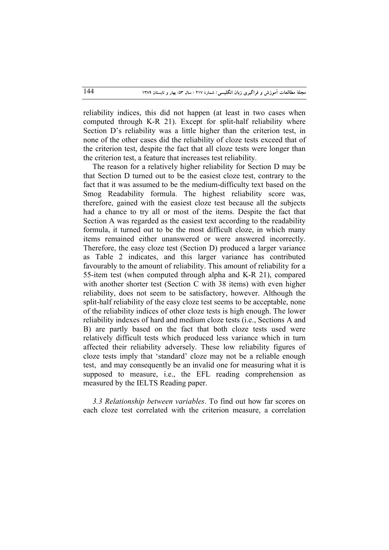reliability indices, this did not happen (at least in two cases when computed through K-R 21). Except for split-half reliability where Section D's reliability was a little higher than the criterion test, in none of the other cases did the reliability of cloze tests exceed that of the criterion test, despite the fact that all cloze tests were longer than the criterion test, a feature that increases test reliability.

The reason for a relatively higher reliability for Section D may be that Section D turned out to be the easiest cloze test, contrary to the fact that it was assumed to be the medium-difficulty text based on the Smog Readability formula. The highest reliability score was, therefore, gained with the easiest cloze test because all the subjects had a chance to try all or most of the items. Despite the fact that Section A was regarded as the easiest text according to the readability formula, it turned out to be the most difficult cloze, in which many items remained either unanswered or were answered incorrectly. Therefore, the easy cloze test (Section D) produced a larger variance as Table 2 indicates, and this larger variance has contributed favourably to the amount of reliability. This amount of reliability for a 55-item test (when computed through alpha and K-R 21), compared with another shorter test (Section C with 38 items) with even higher reliability, does not seem to be satisfactory, however. Although the split-half reliability of the easy cloze test seems to be acceptable, none of the reliability indices of other cloze tests is high enough. The lower reliability indexes of hard and medium cloze tests (i.e., Sections A and B) are partly based on the fact that both cloze tests used were relatively difficult tests which produced less variance which in turn affected their reliability adversely. These low reliability figures of cloze tests imply that 'standard' cloze may not be a reliable enough test, and may consequently be an invalid one for measuring what it is supposed to measure, i.e., the EFL reading comprehension as measured by the IELTS Reading paper.

*3.3 Relationship between variables*. To find out how far scores on each cloze test correlated with the criterion measure, a correlation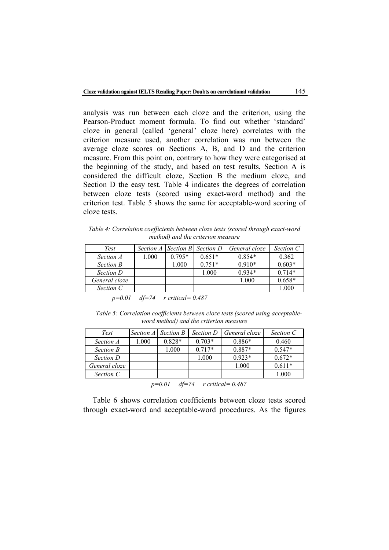analysis was run between each cloze and the criterion, using the Pearson-Product moment formula. To find out whether 'standard' cloze in general (called 'general' cloze here) correlates with the criterion measure used, another correlation was run between the average cloze scores on Sections A, B, and D and the criterion measure. From this point on, contrary to how they were categorised at the beginning of the study, and based on test results, Section A is considered the difficult cloze, Section B the medium cloze, and Section D the easy test. Table 4 indicates the degrees of correlation between cloze tests (scored using exact-word method) and the criterion test. Table 5 shows the same for acceptable-word scoring of cloze tests.

*Table 4: Correlation coefficients between cloze tests (scored through exact-word method) and the criterion measure*

| Test             |       |          | Section A   Section B   Section D | General cloze | Section C |
|------------------|-------|----------|-----------------------------------|---------------|-----------|
| Section A        | 0.001 | $0.795*$ | $0.651*$                          | $0.854*$      | 0.362     |
| <b>Section B</b> |       | 000.1    | $0.751*$                          | $0.910*$      | $0.603*$  |
| Section D        |       |          | 1.000                             | $0.934*$      | $0.714*$  |
| General cloze    |       |          |                                   | 1.000         | $0.658*$  |
| Section C        |       |          |                                   |               | 1.000     |

 *p=0.01 df=74 r critical= 0.487*

*Table 5: Correlation coefficients between cloze tests (scored using acceptableword method) and the criterion measure*

| Test             |       | Section A Section B | Section D | General cloze | Section C |
|------------------|-------|---------------------|-----------|---------------|-----------|
| Section A        | 1.000 | $0.828*$            | $0.703*$  | $0.886*$      | 0.460     |
| <b>Section B</b> |       | 1.000               | $0.717*$  | $0.887*$      | $0.547*$  |
| Section D        |       |                     | 1.000     | $0.923*$      | $0.672*$  |
| General cloze    |       |                     |           | 1.000         | $0.611*$  |
| Section C        |       |                     |           |               | 1.000     |

*p=0.01 df=74 r critical= 0.487*

Table 6 shows correlation coefficients between cloze tests scored through exact-word and acceptable-word procedures. As the figures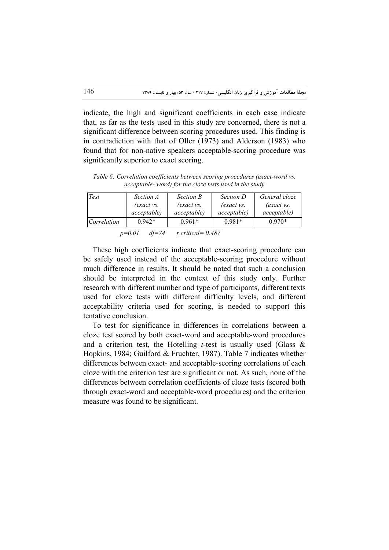indicate, the high and significant coefficients in each case indicate that, as far as the tests used in this study are concerned, there is not a significant difference between scoring procedures used. This finding is in contradiction with that of Oller (1973) and Alderson (1983) who found that for non-native speakers acceptable-scoring procedure was significantly superior to exact scoring.

*Table 6: Correlation coefficients between scoring procedures (exact-word vs. acceptable- word) for the cloze tests used in the study*

| Test        | Section A           | <b>Section B</b>           | Section D           | General cloze       |  |
|-------------|---------------------|----------------------------|---------------------|---------------------|--|
|             | <i>(exact vs.</i>   | <i>(exact vs.)</i>         | <i>(exact vs.</i>   | <i>(exact vs.</i>   |  |
|             | <i>acceptable</i> ) | <i>acceptable</i> )        | <i>acceptable</i> ) | <i>acceptable</i> ) |  |
| Correlation | $0.942*$            | $0.961*$                   | $0.981*$            | $0.970*$            |  |
|             | 0.01<br>$\cdots$    | $\cdots$ $\cdots$ $\cdots$ |                     |                     |  |

 *p=0.01 df=74 r critical= 0.487*

These high coefficients indicate that exact-scoring procedure can be safely used instead of the acceptable-scoring procedure without much difference in results. It should be noted that such a conclusion should be interpreted in the context of this study only. Further research with different number and type of participants, different texts used for cloze tests with different difficulty levels, and different acceptability criteria used for scoring, is needed to support this tentative conclusion.

To test for significance in differences in correlations between a cloze test scored by both exact-word and acceptable-word procedures and a criterion test, the Hotelling *t-*test is usually used (Glass & Hopkins, 1984; Guilford & Fruchter, 1987). Table 7 indicates whether differences between exact- and acceptable-scoring correlations of each cloze with the criterion test are significant or not. As such, none of the differences between correlation coefficients of cloze tests (scored both through exact-word and acceptable-word procedures) and the criterion measure was found to be significant.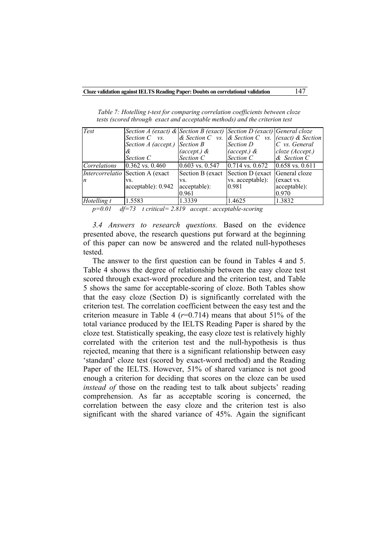| Test             | Section A (exact) & Section B (exact) Section D (exact) General cloze |                  |                                                              |                 |
|------------------|-----------------------------------------------------------------------|------------------|--------------------------------------------------------------|-----------------|
|                  | Section $C$ vs.                                                       |                  | & Section C vs. $\&$ Section C vs. $\int (exact) \&$ Section |                 |
|                  | Section A (accept.)                                                   | <b>Section B</b> | Section D                                                    | $C$ vs. General |
|                  | &                                                                     | (accept.) $\&$   | $(\text{accept}) \&$                                         | cloze (Accept.) |
|                  | Section C                                                             | Section C        | Section C                                                    | $\&$ Section C  |
| Correlations     | $0.362$ vs. $0.460$                                                   | 0.603 vs. 0.547  | 0.714 vs. 0.672                                              | 0.658 vs. 0.611 |
|                  | Intercorrelatio Section A (exact                                      | Section B (exact | Section D (exact General cloze)                              |                 |
| $\boldsymbol{n}$ | VS.                                                                   | VS.              | vs. acceptable):                                             | (exact vs.      |
|                  | acceptable): 0.942                                                    | acceptable):     | 0.981                                                        | acceptable):    |
|                  |                                                                       | 0.961            |                                                              | 0.970           |
| Hotelling t      | 1.5583                                                                | 1.3339           | 1.4625                                                       | 1.3832          |

*Table 7: Hotelling t-test for comparing correlation coefficients between cloze tests (scored through exact and acceptable methods) and the criterion test*

*p=0.01 df=73 t critical= 2.819 accept.: acceptable-scoring*

*3.4 Answers to research questions.* Based on the evidence presented above, the research questions put forward at the beginning of this paper can now be answered and the related null-hypotheses tested.

The answer to the first question can be found in Tables 4 and 5. Table 4 shows the degree of relationship between the easy cloze test scored through exact-word procedure and the criterion test, and Table 5 shows the same for acceptable-scoring of cloze. Both Tables show that the easy cloze (Section D) is significantly correlated with the criterion test. The correlation coefficient between the easy test and the criterion measure in Table 4  $(r=0.714)$  means that about 51% of the total variance produced by the IELTS Reading Paper is shared by the cloze test. Statistically speaking, the easy cloze test is relatively highly correlated with the criterion test and the null-hypothesis is thus rejected, meaning that there is a significant relationship between easy 'standard' cloze test (scored by exact-word method) and the Reading Paper of the IELTS. However, 51% of shared variance is not good enough a criterion for deciding that scores on the cloze can be used *instead of* those on the reading test to talk about subjects' reading comprehension. As far as acceptable scoring is concerned, the correlation between the easy cloze and the criterion test is also significant with the shared variance of 45%. Again the significant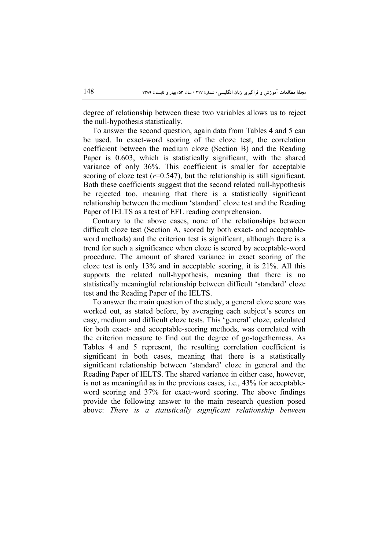degree of relationship between these two variables allows us to reject the null-hypothesis statistically.

To answer the second question, again data from Tables 4 and 5 can be used. In exact-word scoring of the cloze test, the correlation coefficient between the medium cloze (Section B) and the Reading Paper is 0.603, which is statistically significant, with the shared variance of only 36%. This coefficient is smaller for acceptable scoring of cloze test  $(r=0.547)$ , but the relationship is still significant. Both these coefficients suggest that the second related null-hypothesis be rejected too, meaning that there is a statistically significant relationship between the medium 'standard' cloze test and the Reading Paper of IELTS as a test of EFL reading comprehension.

Contrary to the above cases, none of the relationships between difficult cloze test (Section A, scored by both exact- and acceptableword methods) and the criterion test is significant, although there is a trend for such a significance when cloze is scored by acceptable-word procedure. The amount of shared variance in exact scoring of the cloze test is only 13% and in acceptable scoring, it is 21%. All this supports the related null-hypothesis, meaning that there is no statistically meaningful relationship between difficult 'standard' cloze test and the Reading Paper of the IELTS.

To answer the main question of the study, a general cloze score was worked out, as stated before, by averaging each subject's scores on easy, medium and difficult cloze tests. This 'general' cloze, calculated for both exact- and acceptable-scoring methods, was correlated with the criterion measure to find out the degree of go-togetherness. As Tables 4 and 5 represent, the resulting correlation coefficient is significant in both cases, meaning that there is a statistically significant relationship between 'standard' cloze in general and the Reading Paper of IELTS. The shared variance in either case, however, is not as meaningful as in the previous cases, i.e., 43% for acceptableword scoring and 37% for exact-word scoring. The above findings provide the following answer to the main research question posed above: *There is a statistically significant relationship between*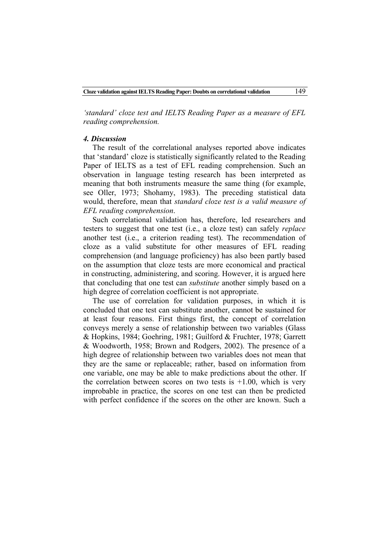*'standard' cloze test and IELTS Reading Paper as a measure of EFL reading comprehension.*

#### *4. Discussion*

The result of the correlational analyses reported above indicates that 'standard' cloze is statistically significantly related to the Reading Paper of IELTS as a test of EFL reading comprehension. Such an observation in language testing research has been interpreted as meaning that both instruments measure the same thing (for example, see Oller, 1973; Shohamy, 1983). The preceding statistical data would, therefore, mean that *standard cloze test is a valid measure of EFL reading comprehension*.

Such correlational validation has, therefore, led researchers and testers to suggest that one test (i.e., a cloze test) can safely *replace*  another test (i.e., a criterion reading test). The recommendation of cloze as a valid substitute for other measures of EFL reading comprehension (and language proficiency) has also been partly based on the assumption that cloze tests are more economical and practical in constructing, administering, and scoring. However, it is argued here that concluding that one test can *substitute* another simply based on a high degree of correlation coefficient is not appropriate.

The use of correlation for validation purposes, in which it is concluded that one test can substitute another, cannot be sustained for at least four reasons. First things first, the concept of correlation conveys merely a sense of relationship between two variables (Glass & Hopkins, 1984; Goehring, 1981; Guilford & Fruchter, 1978; Garrett & Woodworth, 1958; Brown and Rodgers, 2002). The presence of a high degree of relationship between two variables does not mean that they are the same or replaceable; rather, based on information from one variable, one may be able to make predictions about the other. If the correlation between scores on two tests is  $+1.00$ , which is very improbable in practice, the scores on one test can then be predicted with perfect confidence if the scores on the other are known. Such a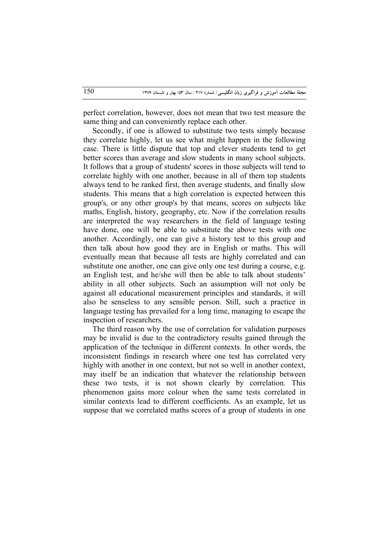perfect correlation, however, does not mean that two test measure the same thing and can conveniently replace each other.

Secondly, if one is allowed to substitute two tests simply because they correlate highly, let us see what might happen in the following case. There is little dispute that top and clever students tend to get better scores than average and slow students in many school subjects. It follows that a group of students' scores in those subjects will tend to correlate highly with one another, because in all of them top students always tend to be ranked first, then average students, and finally slow students. This means that a high correlation is expected between this group's, or any other group's by that means, scores on subjects like maths, English, history, geography, etc. Now if the correlation results are interpreted the way researchers in the field of language testing have done, one will be able to substitute the above tests with one another. Accordingly, one can give a history test to this group and then talk about how good they are in English or maths. This will eventually mean that because all tests are highly correlated and can substitute one another, one can give only one test during a course, e.g. an English test, and he/she will then be able to talk about students' ability in all other subjects. Such an assumption will not only be against all educational measurement principles and standards, it will also be senseless to any sensible person. Still, such a practice in language testing has prevailed for a long time, managing to escape the inspection of researchers.

The third reason why the use of correlation for validation purposes may be invalid is due to the contradictory results gained through the application of the technique in different contexts. In other words, the inconsistent findings in research where one test has correlated very highly with another in one context, but not so well in another context, may itself be an indication that whatever the relationship between these two tests, it is not shown clearly by correlation. This phenomenon gains more colour when the same tests correlated in similar contexts lead to different coefficients. As an example, let us suppose that we correlated maths scores of a group of students in one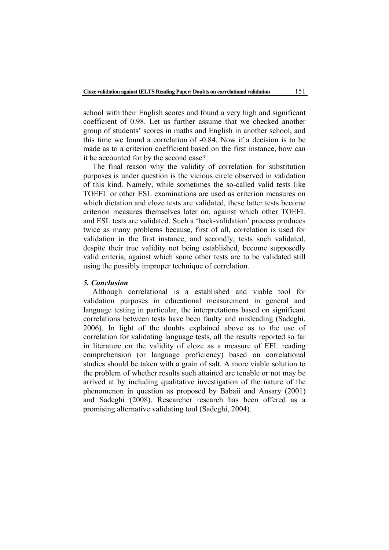school with their English scores and found a very high and significant coefficient of 0.98. Let us further assume that we checked another group of students' scores in maths and English in another school, and this time we found a correlation of -0.84. Now if a decision is to be made as to a criterion coefficient based on the first instance, how can it be accounted for by the second case?

The final reason why the validity of correlation for substitution purposes is under question is the vicious circle observed in validation of this kind. Namely, while sometimes the so-called valid tests like TOEFL or other ESL examinations are used as criterion measures on which dictation and cloze tests are validated, these latter tests become criterion measures themselves later on, against which other TOEFL and ESL tests are validated. Such a 'back-validation' process produces twice as many problems because, first of all, correlation is used for validation in the first instance, and secondly, tests such validated, despite their true validity not being established, become supposedly valid criteria, against which some other tests are to be validated still using the possibly improper technique of correlation.

## *5. Conclusion*

Although correlational is a established and viable tool for validation purposes in educational measurement in general and language testing in particular, the interpretations based on significant correlations between tests have been faulty and misleading (Sadeghi, 2006). In light of the doubts explained above as to the use of correlation for validating language tests, all the results reported so far in literature on the validity of cloze as a measure of EFL reading comprehension (or language proficiency) based on correlational studies should be taken with a grain of salt. A more viable solution to the problem of whether results such attained are tenable or not may be arrived at by including qualitative investigation of the nature of the phenomenon in question as proposed by Babaii and Ansary (2001) and Sadeghi (2008). Researcher research has been offered as a promising alternative validating tool (Sadeghi, 2004).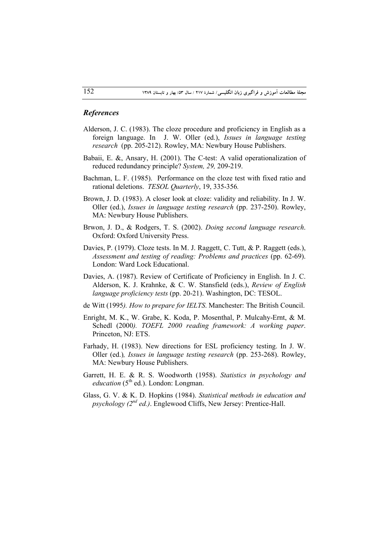#### *References*

- Alderson, J. C. (1983). The cloze procedure and proficiency in English as a foreign language. In J. W. Oller (ed.), *Issues in language testing research* (pp. 205-212). Rowley, MA: Newbury House Publishers.
- Babaii, E. &, Ansary, H. (2001). The C-test: A valid operationalization of reduced redundancy principle? *System, 29,* 209-219.
- Bachman, L. F. (1985). Performance on the cloze test with fixed ratio and rational deletions. *TESOL Quarterly*, 19, 335-356*.*
- Brown, J. D. (1983). A closer look at cloze: validity and reliability. In J. W. Oller (ed.), *Issues in language testing research* (pp. 237-250). Rowley, MA: Newbury House Publishers.
- Brwon, J. D., & Rodgers, T. S. (2002). *Doing second language research*. Oxford: Oxford University Press.
- Davies, P. (1979). Cloze tests. In M. J. Raggett, C. Tutt, & P. Raggett (eds.), *Assessment and testing of reading: Problems and practices* (pp. 62-69). London: Ward Lock Educational.
- Davies, A. (1987). Review of Certificate of Proficiency in English. In J. C. Alderson, K. J. Krahnke, & C. W. Stansfield (eds.), *Review of English language proficiency tests* (pp. 20-21). Washington, DC: TESOL.
- de Witt (1995*). How to prepare for IELTS*. Manchester: The British Council.
- Enright, M. K., W. Grabe, K. Koda, P. Mosenthal, P. Mulcahy-Ernt, & M. Schedl (2000*). TOEFL 2000 reading framework: A working paper*. Princeton, NJ: ETS.
- Farhady, H. (1983). New directions for ESL proficiency testing. In J. W. Oller (ed.)*, Issues in language testing research* (pp. 253-268). Rowley, MA: Newbury House Publishers.
- Garrett, H. E. & R. S. Woodworth (1958). *Statistics in psychology and education* (5<sup>th</sup> ed.). London: Longman.
- Glass, G. V. & K. D. Hopkins (1984). *Statistical methods in education and psychology (2nd ed.)*. Englewood Cliffs, New Jersey: Prentice-Hall.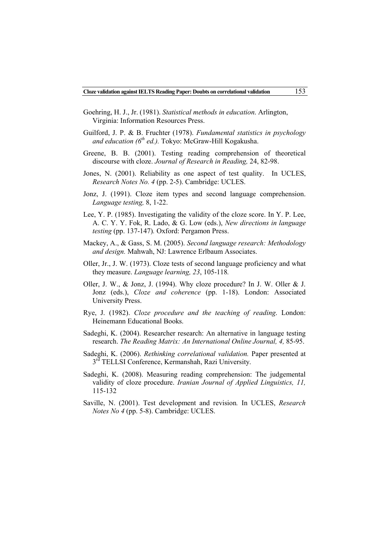- Goehring, H. J., Jr. (1981). *Statistical methods in education*. Arlington, Virginia: Information Resources Press.
- Guilford, J. P. & B. Fruchter (1978). *Fundamental statistics in psychology and education (6th ed.).* Tokyo: McGraw-Hill Kogakusha.
- Greene, B. B. (2001). Testing reading comprehension of theoretical discourse with cloze. *Journal of Research in Reading,* 24, 82-98.
- Jones, N. (2001). Reliability as one aspect of test quality. In UCLES, *Research Notes No. 4* (pp. 2-5). Cambridge: UCLES.
- Jonz, J. (1991). Cloze item types and second language comprehension. *Language testing,* 8, 1-22.
- Lee, Y. P. (1985). Investigating the validity of the cloze score. In Y. P. Lee, A. C. Y. Y. Fok, R. Lado, & G. Low (eds.), *New directions in language testing* (pp. 137-147)*.* Oxford: Pergamon Press.
- Mackey, A., & Gass, S. M. (2005). *Second language research: Methodology and design.* Mahwah, NJ: Lawrence Erlbaum Associates.
- Oller, Jr., J. W. (1973). Cloze tests of second language proficiency and what they measure. *Language learning, 23*, 105-118*.*
- Oller, J. W., & Jonz, J. (1994). Why cloze procedure? In J. W. Oller & J. Jonz (eds.), *Cloze and coherence* (pp. 1-18). London: Associated University Press.
- Rye, J. (1982). *Cloze procedure and the teaching of reading*. London: Heinemann Educational Books.
- Sadeghi, K. (2004). Researcher research: An alternative in language testing research. *The Reading Matrix: An International Online Journal, 4,* 85-95.
- Sadeghi, K. (2006). *Rethinking correlational validation.* Paper presented at  $3<sup>rd</sup> TELLSI Conference, Kernanshah, Razi University.$
- Sadeghi, K. (2008). Measuring reading comprehension: The judgemental validity of cloze procedure. *Iranian Journal of Applied Linguistics, 11,* 115-132
- Saville, N. (2001). Test development and revision*.* In UCLES, *Research Notes No 4* (pp. 5-8). Cambridge: UCLES.